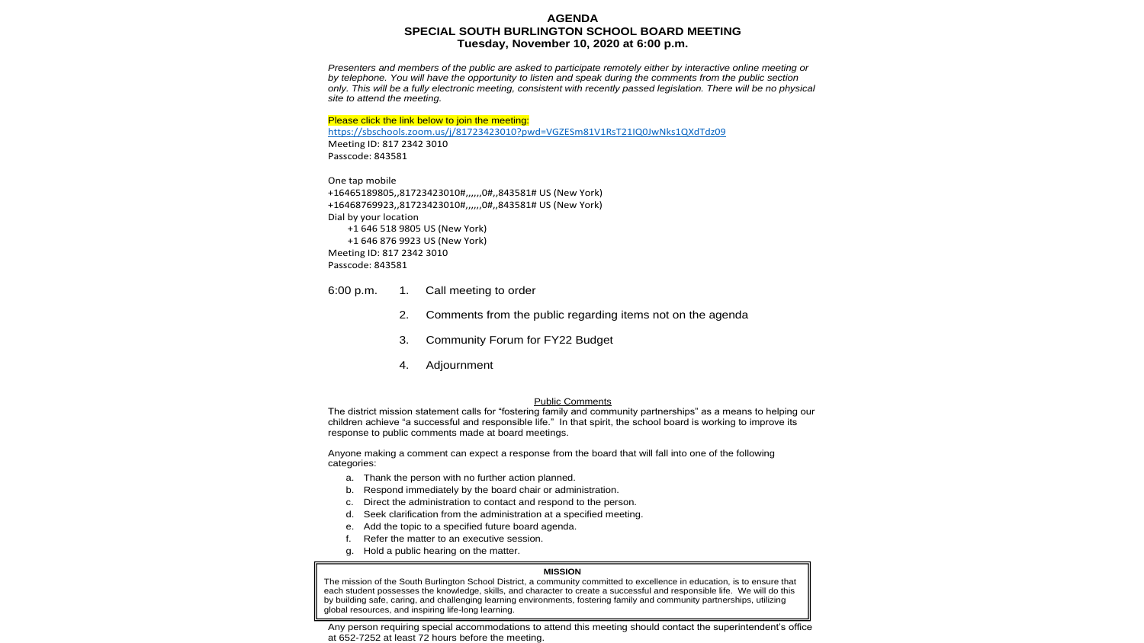### **AGENDA SPECIAL SOUTH BURLINGTON SCHOOL BOARD MEETING Tuesday, November 10, 2020 at 6:00 p.m.**

*Presenters and members of the public are asked to participate remotely either by interactive online meeting or by telephone. You will have the opportunity to listen and speak during the comments from the public section only. This will be a fully electronic meeting, consistent with recently passed legislation. There will be no physical site to attend the meeting.*

### Please click the link below to join the meeting:

https://sbschools.zoom.us/j/81723423010?pwd=VGZESm81V1RsT21IQ0JwNks1QXdTdz09 Meeting ID: 817 2342 3010 Passcode: 843581

One tap mobile +16465189805,,81723423010#,,,,,,0#,,843581# US (New York) +16468769923,,81723423010#,,,,,,0#,,843581# US (New York) Dial by your location +1 646 518 9805 US (New York) +1 646 876 9923 US (New York) Meeting ID: 817 2342 3010 Passcode: 843581

6:00 p.m. 1. Call meeting to order

- 2. Comments from the public regarding items not on the agenda
- 3. Community Forum for FY22 Budget
- 4. Adjournment

### Public Comments

The district mission statement calls for "fostering family and community partnerships" as a means to helping our children achieve "a successful and responsible life." In that spirit, the school board is working to improve its response to public comments made at board meetings.

Anyone making a comment can expect a response from the board that will fall into one of the following categories:

- a. Thank the person with no further action planned.
- b. Respond immediately by the board chair or administration.
- c. Direct the administration to contact and respond to the person.
- d. Seek clarification from the administration at a specified meeting.
- e. Add the topic to a specified future board agenda.
- f. Refer the matter to an executive session.
- g. Hold a public hearing on the matter.

### **MISSION**

The mission of the South Burlington School District, a community committed to excellence in education, is to ensure that each student possesses the knowledge, skills, and character to create a successful and responsible life. We will do this by building safe, caring, and challenging learning environments, fostering family and community partnerships, utilizing global resources, and inspiring life-long learning.

Any person requiring special accommodations to attend this meeting should contact the superintendent's office at 652-7252 at least 72 hours before the meeting.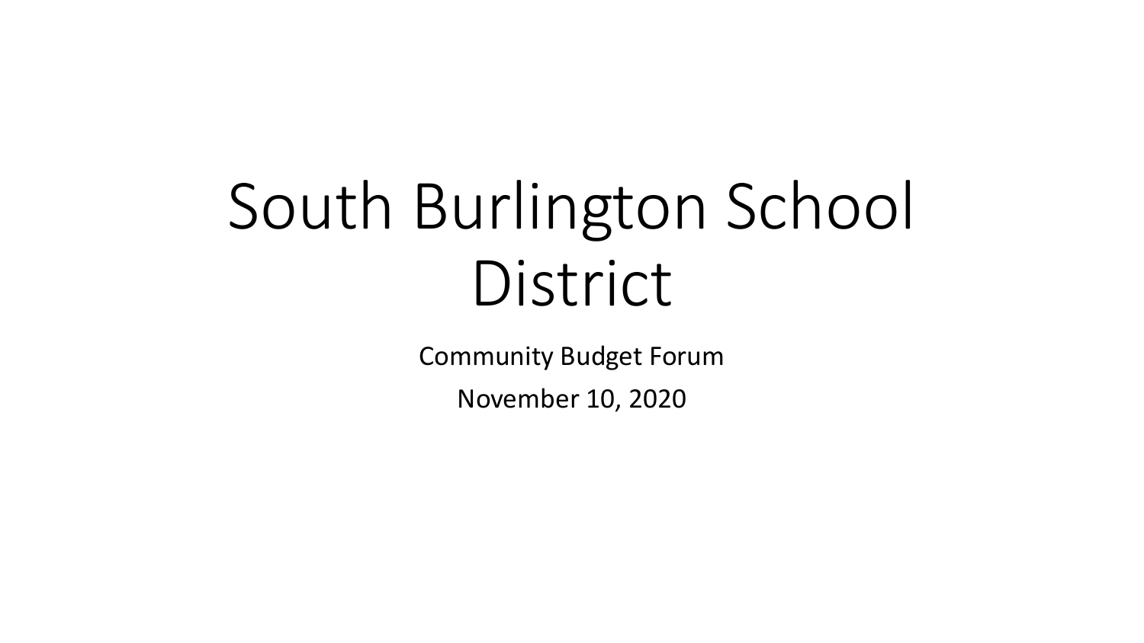# South Burlington School District

Community Budget Forum

November 10, 2020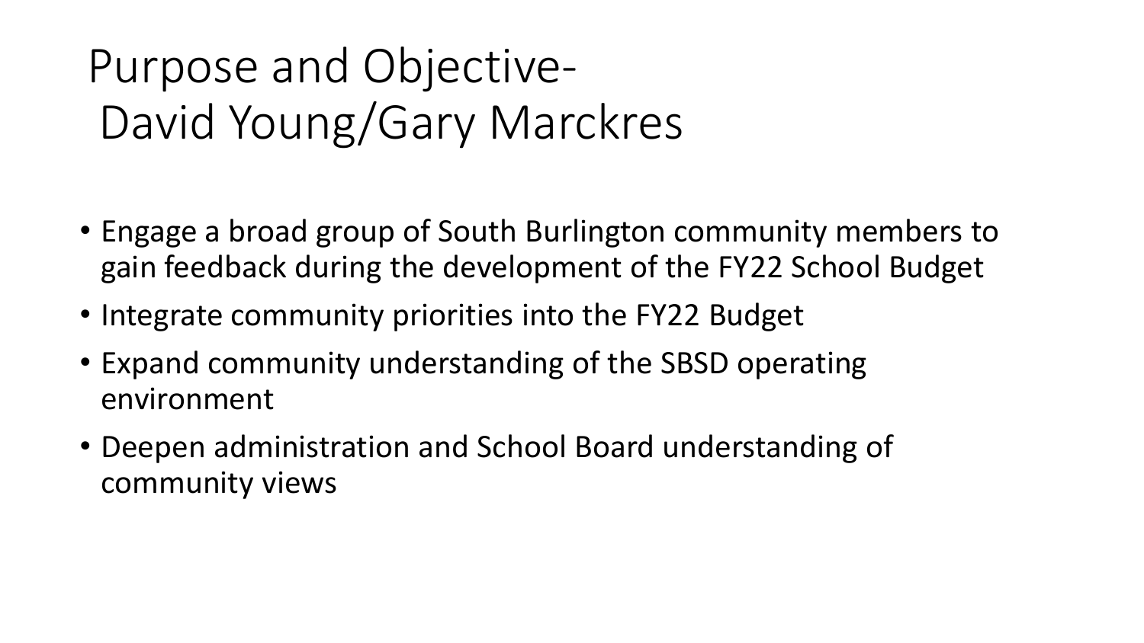# Purpose and Objective-David Young/Gary Marckres

- Engage a broad group of South Burlington community members to gain feedback during the development of the FY22 School Budget
- Integrate community priorities into the FY22 Budget
- Expand community understanding of the SBSD operating environment
- Deepen administration and School Board understanding of community views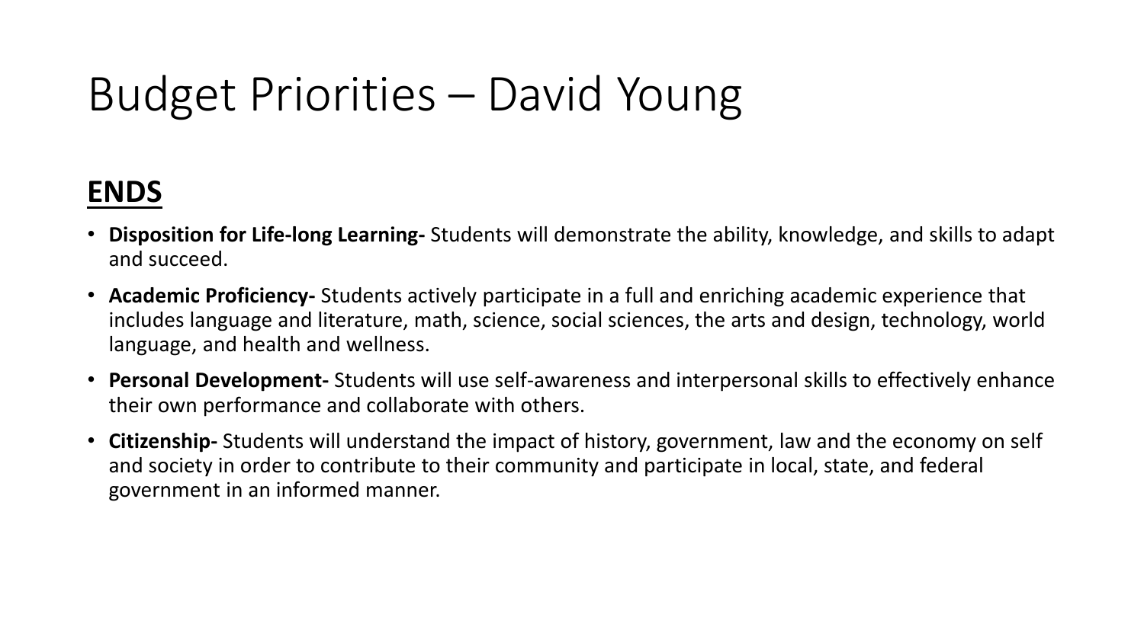# Budget Priorities – David Young

## **ENDS**

- **Disposition for Life-long Learning-** Students will demonstrate the ability, knowledge, and skills to adapt and succeed.
- **Academic Proficiency-** Students actively participate in a full and enriching academic experience that includes language and literature, math, science, social sciences, the arts and design, technology, world language, and health and wellness.
- **Personal Development-** Students will use self-awareness and interpersonal skills to effectively enhance their own performance and collaborate with others.
- **Citizenship-** Students will understand the impact of history, government, law and the economy on self and society in order to contribute to their community and participate in local, state, and federal government in an informed manner.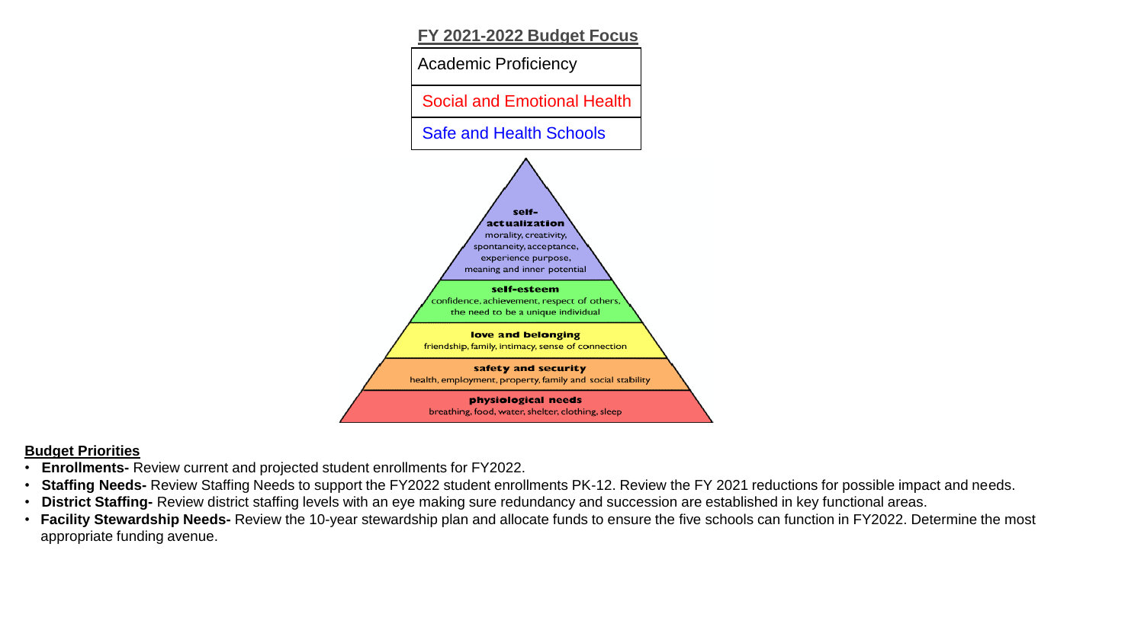

### **Budget Priorities**

- **Enrollments-** Review current and projected student enrollments for FY2022.
- **Staffing Needs-** Review Staffing Needs to support the FY2022 student enrollments PK-12. Review the FY 2021 reductions for possible impact and needs.
- **District Staffing-** Review district staffing levels with an eye making sure redundancy and succession are established in key functional areas.
- **Facility Stewardship Needs-** Review the 10-year stewardship plan and allocate funds to ensure the five schools can function in FY2022. Determine the most appropriate funding avenue.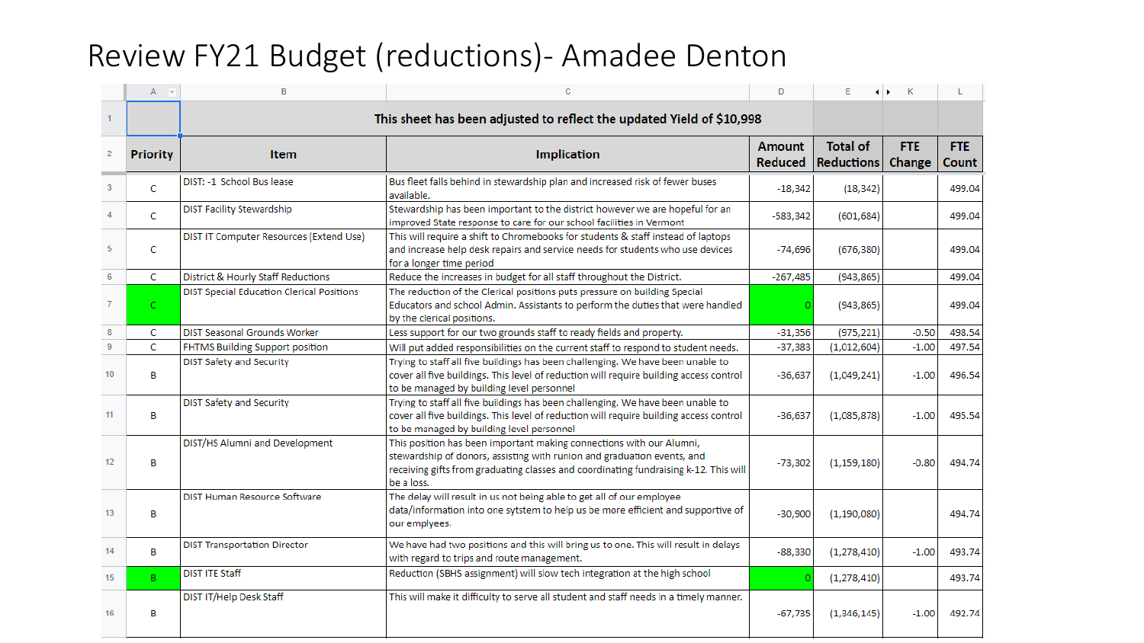## Review FY21 Budget (reductions)- Amadee Denton

|                | A               | B                                                | с                                                                                                                                                                                                                                                     | D          | E             | K<br>$\leftrightarrow$ | L      |
|----------------|-----------------|--------------------------------------------------|-------------------------------------------------------------------------------------------------------------------------------------------------------------------------------------------------------------------------------------------------------|------------|---------------|------------------------|--------|
|                |                 |                                                  | This sheet has been adjusted to reflect the updated Yield of \$10,998                                                                                                                                                                                 |            |               |                        |        |
| $\overline{2}$ | <b>Priority</b> | <b>Item</b>                                      | <b>Amount</b><br><b>Implication</b><br>Reduced                                                                                                                                                                                                        |            |               |                        |        |
| 3              | C               | DIST: -1 School Bus lease                        | Bus fleet falls behind in stewardship plan and increased risk of fewer buses<br>available.                                                                                                                                                            | $-18,342$  | (18, 342)     |                        | 499.04 |
|                | C               | <b>DIST Facility Stewardship</b>                 | Stewardship has been important to the district however we are hopeful for an<br>improved State response to care for our school facilities in Vermont                                                                                                  | $-583,342$ | (601, 684)    |                        | 499.04 |
| 5              | c               | DIST IT Computer Resources (Extend Use)          | This will require a shift to Chromebooks for students & staff instead of laptops<br>and increase help desk repairs and service needs for students who use devices<br>for a longer time period                                                         | $-74,696$  | (676, 380)    |                        | 499.04 |
| 6              | C               | District & Hourly Staff Reductions               | Reduce the increases in budget for all staff throughout the District.                                                                                                                                                                                 | $-267,485$ | (943, 865)    |                        | 499.04 |
|                | $\mathsf{C}$    | <b>DIST Special Education Clerical Positions</b> | The reduction of the Clerical positions puts pressure on building Special<br>Educators and school Admin. Assistants to perform the duties that were handled<br>by the clerical positions.                                                             |            | (943, 865)    |                        | 499.04 |
| 8              | c               | DIST Seasonal Grounds Worker                     | Less support for our two grounds staff to ready fields and property.                                                                                                                                                                                  | $-31,356$  | (975, 221)    | $-0.50$                | 498.54 |
| 9              | C               | FHTMS Building Support position                  | Will put added responsibilities on the current staff to respond to student needs.                                                                                                                                                                     | $-37,383$  | (1,012,604)   | $-1.00$                | 497.54 |
| 10             | в               | <b>DIST Safety and Security</b>                  | Trying to staff all five buildings has been challenging. We have been unable to<br>cover all five buildings. This level of reduction will require building access control<br>to be managed by building level personnel                                | $-36,637$  | (1,049,241)   | $-1.00$                | 496.54 |
| 11             | B               | <b>DIST Safety and Security</b>                  | Trying to staff all five buildings has been challenging. We have been unable to<br>cover all five buildings. This level of reduction will require building access control<br>to be managed by building level personnel                                | $-36,637$  | (1,085,878)   | $-1.00$                | 495.54 |
| 12             | в               | DIST/HS Alumni and Development                   | This position has been important making connections with our Alumni,<br>stewardship of donors, assisting with runion and graduation events, and<br>receiving gifts from graduating classes and coordinating fundraising k-12. This will<br>be a loss. | $-73,302$  | (1, 159, 180) | $-0.80$                | 494.74 |
| 13             | В               | DIST Human Resource Software                     | The delay will result in us not being able to get all of our employee<br>data/information into one sytstem to help us be more efficient and supportive of<br>our emplyees.                                                                            | $-30,900$  | (1, 190, 080) |                        | 494.74 |
| 14             | в               | <b>DIST Transportation Director</b>              | We have had two positions and this will bring us to one. This will result in delays<br>with regard to trips and route management.                                                                                                                     | $-88,330$  | (1, 278, 410) | $-1.00$                | 493.74 |
| 15             | B.              | <b>DIST ITE Staff</b>                            | Reduction (SBHS assignment) will slow tech integration at the high school                                                                                                                                                                             |            | (1, 278, 410) |                        | 493.74 |
| 16             | В               | DIST IT/Help Desk Staff                          | This will make it difficulty to serve all student and staff needs in a timely manner.                                                                                                                                                                 | $-67,735$  | (1,346,145)   | $-1.00$                | 492.74 |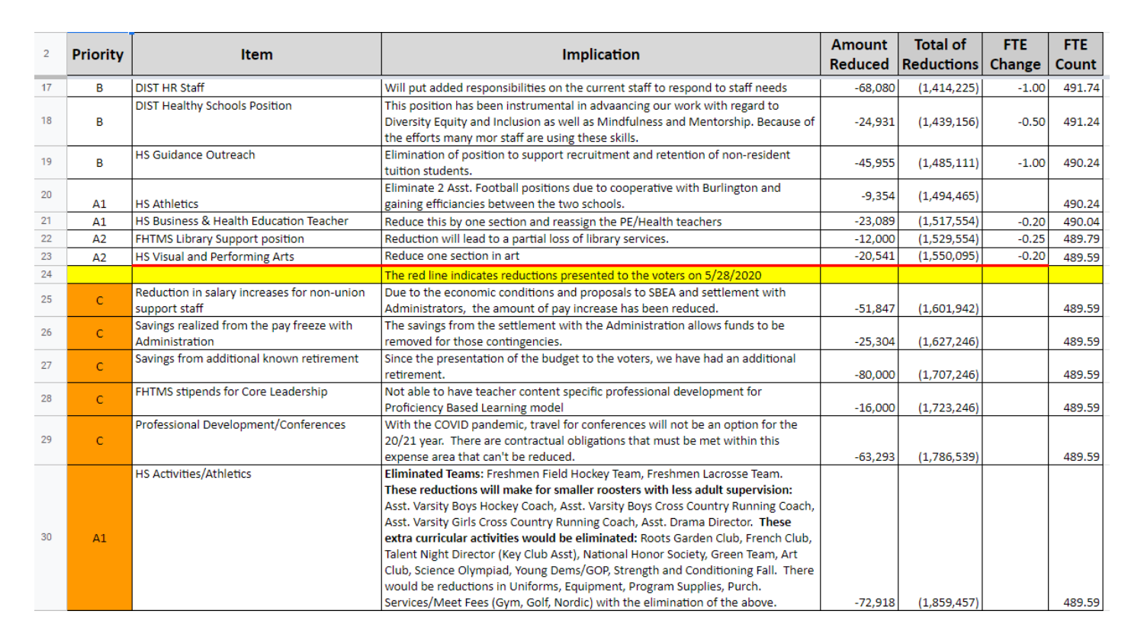| $\overline{2}$ | <b>Priority</b> | <b>Item</b>                                                  | <b>Amount</b><br><b>Implication</b><br><b>Reduced</b>                                                                                                                                                                                                                                                                                                                                                                                                                                                                                                                                                                                                                                                                                 |           | <b>Total of</b><br><b>Reductions</b> | <b>FTE</b><br>Change | <b>FTE</b><br>Count |
|----------------|-----------------|--------------------------------------------------------------|---------------------------------------------------------------------------------------------------------------------------------------------------------------------------------------------------------------------------------------------------------------------------------------------------------------------------------------------------------------------------------------------------------------------------------------------------------------------------------------------------------------------------------------------------------------------------------------------------------------------------------------------------------------------------------------------------------------------------------------|-----------|--------------------------------------|----------------------|---------------------|
| 17             | в               | <b>DIST HR Staff</b>                                         | Will put added responsibilities on the current staff to respond to staff needs                                                                                                                                                                                                                                                                                                                                                                                                                                                                                                                                                                                                                                                        | $-68,080$ | (1,414,225)                          | $-1.00$              | 491.74              |
| 18             | В               | DIST Healthy Schools Position                                | This position has been instrumental in advaancing our work with regard to<br>Diversity Equity and Inclusion as well as Mindfulness and Mentorship. Because of<br>the efforts many mor staff are using these skills.                                                                                                                                                                                                                                                                                                                                                                                                                                                                                                                   | $-24,931$ | (1,439,156)                          | $-0.50$              | 491.24              |
| 19             | B               | <b>HS Guidance Outreach</b>                                  | Elimination of position to support recruitment and retention of non-resident<br>tuition students.                                                                                                                                                                                                                                                                                                                                                                                                                                                                                                                                                                                                                                     | $-45,955$ | (1,485,111)                          | $-1.00$              | 490.24              |
| 20             | A1              | <b>HS Athletics</b>                                          | Eliminate 2 Asst. Football positions due to cooperative with Burlington and<br>gaining efficiancies between the two schools.                                                                                                                                                                                                                                                                                                                                                                                                                                                                                                                                                                                                          | $-9,354$  | (1,494,465)                          |                      | 490.24              |
| 21             | A1              | HS Business & Health Education Teacher                       | Reduce this by one section and reassign the PE/Health teachers                                                                                                                                                                                                                                                                                                                                                                                                                                                                                                                                                                                                                                                                        | $-23,089$ | (1,517,554)                          | $-0.20$              | 490.04              |
| 22             | A <sub>2</sub>  | FHTMS Library Support position                               | Reduction will lead to a partial loss of library services.                                                                                                                                                                                                                                                                                                                                                                                                                                                                                                                                                                                                                                                                            | $-12,000$ | (1,529,554)                          | $-0.25$              | 489.79              |
| 23             | A <sub>2</sub>  | HS Visual and Performing Arts                                | Reduce one section in art                                                                                                                                                                                                                                                                                                                                                                                                                                                                                                                                                                                                                                                                                                             | $-20,541$ | (1,550,095)                          | $-0.20$              | 489.59              |
| 24             |                 |                                                              | The red line indicates reductions presented to the voters on 5/28/2020                                                                                                                                                                                                                                                                                                                                                                                                                                                                                                                                                                                                                                                                |           |                                      |                      |                     |
| 25             | $\mathsf{C}$    | Reduction in salary increases for non-union<br>support staff | Due to the economic conditions and proposals to SBEA and settlement with<br>Administrators, the amount of pay increase has been reduced.                                                                                                                                                                                                                                                                                                                                                                                                                                                                                                                                                                                              | $-51,847$ | (1,601,942)                          |                      | 489.59              |
| 26             | $\mathsf{C}$    | Savings realized from the pay freeze with<br>Administration  | The savings from the settlement with the Administration allows funds to be<br>removed for those contingencies.                                                                                                                                                                                                                                                                                                                                                                                                                                                                                                                                                                                                                        | $-25,304$ | (1,627,246)                          |                      | 489.59              |
| 27             | C               | Savings from additional known retirement                     | Since the presentation of the budget to the voters, we have had an additional<br>retirement.                                                                                                                                                                                                                                                                                                                                                                                                                                                                                                                                                                                                                                          | $-80,000$ | (1,707,246)                          |                      | 489.59              |
| 28             | Ċ               | FHTMS stipends for Core Leadership                           | Not able to have teacher content specific professional development for<br>Proficiency Based Learning model                                                                                                                                                                                                                                                                                                                                                                                                                                                                                                                                                                                                                            | $-16,000$ | (1,723,246)                          |                      | 489.59              |
| 29             | C               | Professional Development/Conferences                         | With the COVID pandemic, travel for conferences will not be an option for the<br>20/21 year. There are contractual obligations that must be met within this<br>expense area that can't be reduced.                                                                                                                                                                                                                                                                                                                                                                                                                                                                                                                                    | $-63,293$ | (1,786,539)                          |                      | 489.59              |
| 30             | A1              | <b>HS Activities/Athletics</b>                               | Eliminated Teams: Freshmen Field Hockey Team, Freshmen Lacrosse Team.<br>These reductions will make for smaller roosters with less adult supervision:<br>Asst. Varsity Boys Hockey Coach, Asst. Varsity Boys Cross Country Running Coach,<br>Asst. Varsity Girls Cross Country Running Coach, Asst. Drama Director. These<br>extra curricular activities would be eliminated: Roots Garden Club, French Club,<br>Talent Night Director (Key Club Asst), National Honor Society, Green Team, Art<br>Club, Science Olympiad, Young Dems/GOP, Strength and Conditioning Fall. There<br>would be reductions in Uniforms, Equipment, Program Supplies, Purch.<br>Services/Meet Fees (Gym, Golf, Nordic) with the elimination of the above. | $-72,918$ | (1,859,457)                          |                      | 489.59              |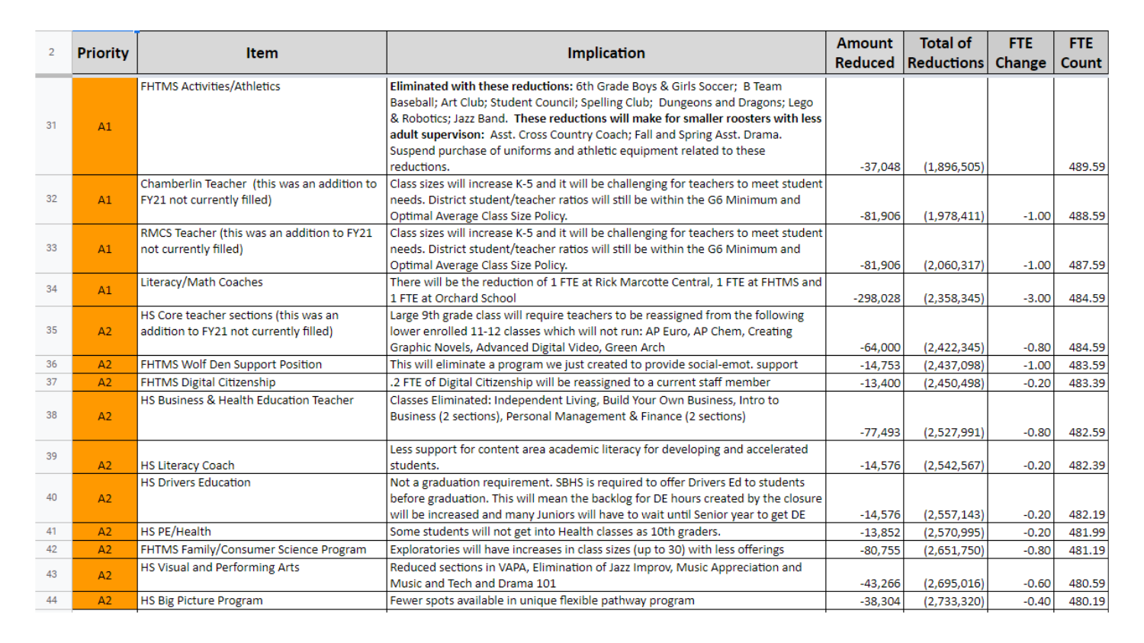| <b>Priority</b><br>$\overline{2}$ |    | <b>Item</b>                                                                     | <b>Implication</b>                                                                                                                                                                                                                                                                                                                                                                                 | <b>Amount</b><br>Reduced | <b>Total of</b><br><b>Reductions</b> | <b>FTE</b><br>Change | FTE.<br>Count |
|-----------------------------------|----|---------------------------------------------------------------------------------|----------------------------------------------------------------------------------------------------------------------------------------------------------------------------------------------------------------------------------------------------------------------------------------------------------------------------------------------------------------------------------------------------|--------------------------|--------------------------------------|----------------------|---------------|
| 31                                | A1 | <b>FHTMS Activities/Athletics</b>                                               | Eliminated with these reductions: 6th Grade Boys & Girls Soccer; B Team<br>Baseball; Art Club; Student Council; Spelling Club; Dungeons and Dragons; Lego<br>& Robotics; Jazz Band. These reductions will make for smaller roosters with less<br>adult supervison: Asst. Cross Country Coach; Fall and Spring Asst. Drama.<br>Suspend purchase of uniforms and athletic equipment related to these |                          |                                      |                      |               |
|                                   |    |                                                                                 | reductions.                                                                                                                                                                                                                                                                                                                                                                                        | $-37,048$                | (1,896,505)                          |                      | 489.59        |
| 32                                | A1 | Chamberlin Teacher (this was an addition to<br>FY21 not currently filled)       | Class sizes will increase K-5 and it will be challenging for teachers to meet student<br>needs. District student/teacher ratios will still be within the G6 Minimum and<br>Optimal Average Class Size Policy.                                                                                                                                                                                      | $-81,906$                | (1,978,411)                          | $-1.00$              | 488.59        |
| 33                                | A1 | RMCS Teacher (this was an addition to FY21<br>not currently filled)             | Class sizes will increase K-5 and it will be challenging for teachers to meet student<br>needs. District student/teacher ratios will still be within the G6 Minimum and<br>Optimal Average Class Size Policy.                                                                                                                                                                                      | $-81,906$                | (2,060,317)                          | $-1.00$              | 487.59        |
| 34                                | A1 | Literacy/Math Coaches                                                           | There will be the reduction of 1 FTE at Rick Marcotte Central, 1 FTE at FHTMS and<br>1 FTE at Orchard School                                                                                                                                                                                                                                                                                       | $-298,028$               | (2,358,345)                          | $-3.00$              | 484.59        |
| 35                                | A2 | HS Core teacher sections (this was an<br>addition to FY21 not currently filled) | Large 9th grade class will require teachers to be reassigned from the following<br>lower enrolled 11-12 classes which will not run: AP Euro, AP Chem, Creating<br>Graphic Novels, Advanced Digital Video, Green Arch                                                                                                                                                                               | $-64,000$                | (2,422,345)                          | $-0.80$              | 484.59        |
| 36                                | A2 | FHTMS Wolf Den Support Position                                                 | This will eliminate a program we just created to provide social-emot. support                                                                                                                                                                                                                                                                                                                      | $-14,753$                | (2,437,098)                          | $-1.00$              | 483.59        |
| 37                                | A2 | FHTMS Digital Citizenship                                                       | .2 FTE of Digital Citizenship will be reassigned to a current staff member                                                                                                                                                                                                                                                                                                                         | $-13,400$                | (2,450,498)                          | $-0.20$              | 483.39        |
| 38                                | A2 | HS Business & Health Education Teacher                                          | Classes Eliminated: Independent Living, Build Your Own Business, Intro to<br>Business (2 sections), Personal Management & Finance (2 sections)                                                                                                                                                                                                                                                     | $-77,493$                | (2,527,991)                          | $-0.80$              | 482.59        |
| 39                                | A2 | <b>HS Literacy Coach</b>                                                        | Less support for content area academic literacy for developing and accelerated<br>students.                                                                                                                                                                                                                                                                                                        | $-14,576$                | (2, 542, 567)                        | $-0.20$              | 482.39        |
| 40                                | A2 | <b>HS Drivers Education</b>                                                     | Not a graduation requirement. SBHS is required to offer Drivers Ed to students<br>before graduation. This will mean the backlog for DE hours created by the closure<br>will be increased and many Juniors will have to wait until Senior year to get DE                                                                                                                                            | $-14,576$                | (2,557,143)                          | $-0.20$              | 482.19        |
| 41                                | A2 | HS PE/Health                                                                    | Some students will not get into Health classes as 10th graders.                                                                                                                                                                                                                                                                                                                                    | $-13,852$                | (2,570,995)                          | $-0.20$              | 481.99        |
| 42                                | A2 | FHTMS Family/Consumer Science Program                                           | Exploratories will have increases in class sizes (up to 30) with less offerings                                                                                                                                                                                                                                                                                                                    | $-80,755$                | (2,651,750)                          | $-0.80$              | 481.19        |
| 43                                | A2 | HS Visual and Performing Arts                                                   | Reduced sections in VAPA, Elimination of Jazz Improv, Music Appreciation and<br>Music and Tech and Drama 101                                                                                                                                                                                                                                                                                       | $-43,266$                | (2,695,016)                          | $-0.60$              | 480.59        |
| 44                                | A2 | HS Big Picture Program                                                          | Fewer spots available in unique flexible pathway program                                                                                                                                                                                                                                                                                                                                           | $-38,304$                | (2,733,320)                          | $-0.40$              | 480.19        |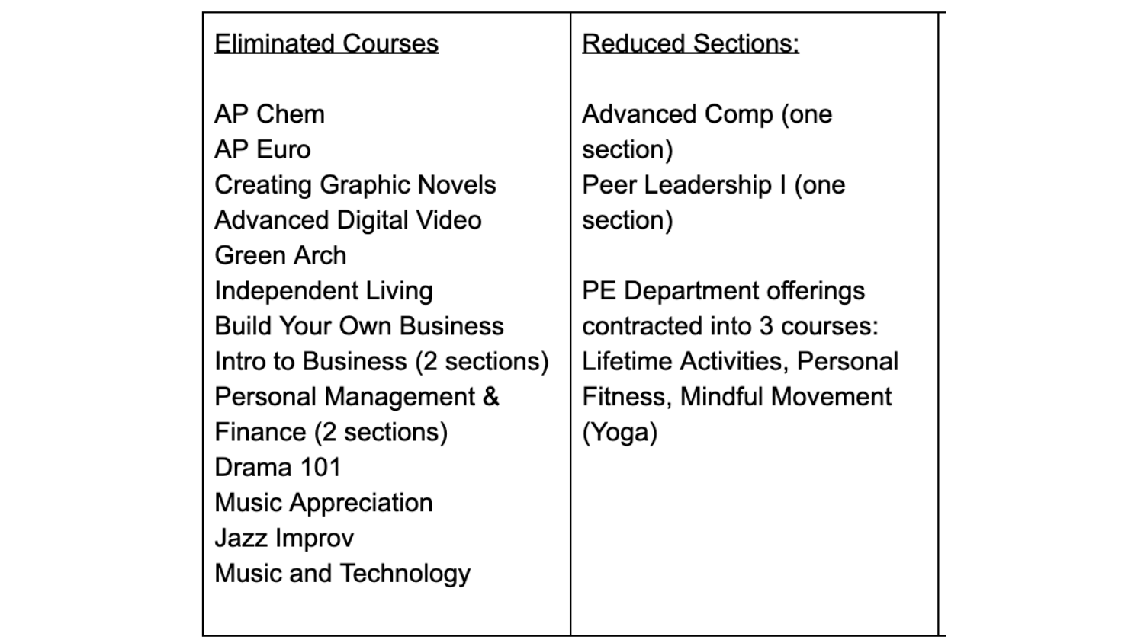| <b>Eliminated Courses</b>                                                                                                                                                                                                                                                                                             |
|-----------------------------------------------------------------------------------------------------------------------------------------------------------------------------------------------------------------------------------------------------------------------------------------------------------------------|
| AP Chem<br><b>AP Euro</b><br><b>Creating Graphic Novels</b><br><b>Advanced Digital Video</b><br>Green Arch<br><b>Independent Living</b><br><b>Build Your Own Business</b><br>Intro to Business (2 sections)<br>Personal Management &<br>Finance (2 sections)<br>Drama 101<br><b>Music Appreciation</b><br>Jazz Improv |
| <b>Music and Technology</b>                                                                                                                                                                                                                                                                                           |

### **Reduced Sections:**

Advanced Comp (one section) Peer Leadership I (one section)

PE Department offerings contracted into 3 courses: Lifetime Activities, Personal **Fitness, Mindful Movement** (Yoga)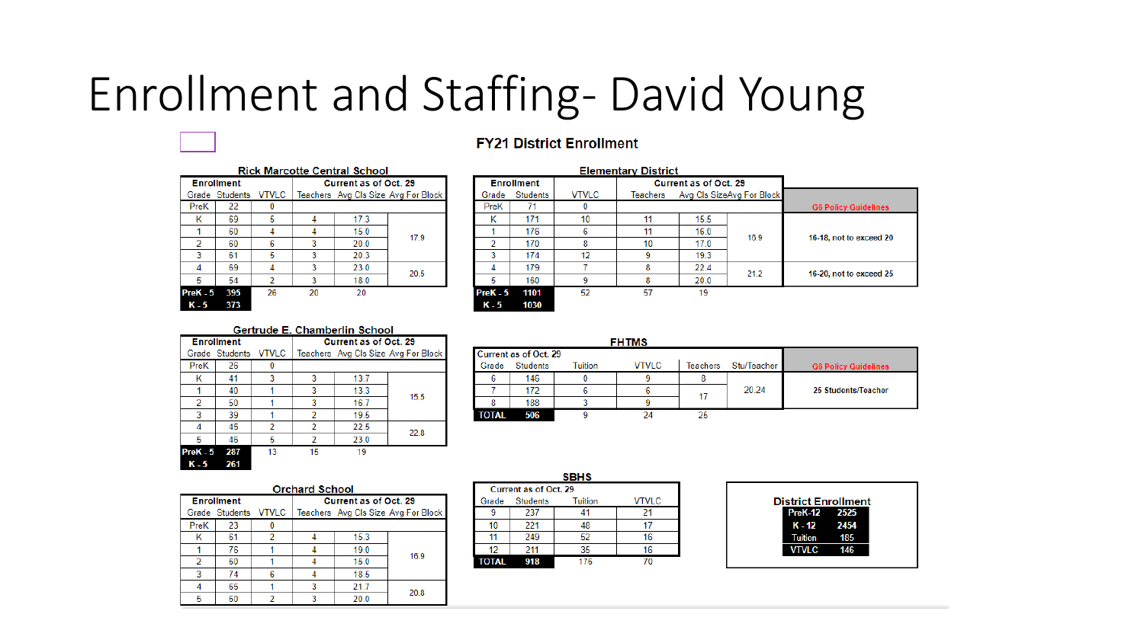# Enrollment and Staffing- David Young

### **FY21 District Enrollment**

|            | <b>Rick Marcotte Central School</b> |    |                              |      |                                     |  |  |  |  |  |  |
|------------|-------------------------------------|----|------------------------------|------|-------------------------------------|--|--|--|--|--|--|
|            | <b>Enrollment</b>                   |    | <b>Current as of Oct. 29</b> |      |                                     |  |  |  |  |  |  |
|            | Grade Students VTVLC                |    |                              |      | Teachers Avg Cls Size Avg For Block |  |  |  |  |  |  |
| PreK       | 22                                  |    |                              |      |                                     |  |  |  |  |  |  |
| Κ          | 69                                  | 5  |                              | 17.3 |                                     |  |  |  |  |  |  |
|            | 60                                  | 4  |                              | 15.0 | 17.9                                |  |  |  |  |  |  |
| 2          | 60                                  | 6  | 3                            | 20.0 |                                     |  |  |  |  |  |  |
| 3          | 61                                  | 5  | ٩                            | 20.3 |                                     |  |  |  |  |  |  |
|            | 69                                  |    | 3                            | 23.0 | 20.5                                |  |  |  |  |  |  |
| 5          | 54                                  | 2  | 3                            | 18.0 |                                     |  |  |  |  |  |  |
| $PreK - 5$ | 395                                 | 26 | 20                           | 20   |                                     |  |  |  |  |  |  |
| K - 5      | 373                                 |    |                              |      |                                     |  |  |  |  |  |  |

|            |                   |              | <b>Elementary District</b> |                       |                           |                             |
|------------|-------------------|--------------|----------------------------|-----------------------|---------------------------|-----------------------------|
|            | <b>Enrollment</b> |              |                            | Current as of Oct. 29 |                           |                             |
| Grade      | <b>Students</b>   | <b>VTVLC</b> | Teachers                   |                       | Avg Cls SizeAvg For Block |                             |
| PreK       | 71                |              |                            |                       |                           | <b>G6 Policy Guidelines</b> |
| κ          | 171               | 10           | 11                         | 15.5                  |                           |                             |
|            | 176               | 6            | 11                         | 16.0                  | 16.9                      | 16-18, not to exceed 20     |
| 2          | 170               | 8            | 10                         | 17.0                  |                           |                             |
| ٩          | 174               | 12           | 9                          | 19.3                  |                           |                             |
| 4          | 179               |              | 8                          | 22.4                  | 21.2                      | 16-20, not to exceed 25     |
| 5          | 160               | 9            | 8                          | 20.0                  |                           |                             |
| $PreK - 5$ | 1101              | 52           | 57                         | 19                    |                           |                             |
| K - 5      | 1030              |              |                            |                       |                           |                             |

#### Gertrude E. Chamberlin School Current as of Oct. 29 **Enrollment** Grade Students VTVLC | Teachers Avg Cls Size Avg For Block PreK 26  $\overline{0}$ K 41  $\overline{\mathbf{3}}$  $\overline{\mathbf{3}}$ 13.7 40  $\overline{1}$  $\overline{3}$ 13.3 15.5  $\overline{2}$  $\overline{1}$  $\overline{3}$  $16.7$ 50 39 19.5  $\overline{3}$  $\blacksquare$  $\overline{2}$ 45  $\overline{2}$  $\overline{2}$  $22.5$  $\overline{4}$ 22.8 46  $5<sup>7</sup>$  $23.0$  $\overline{2}$  $13$  $15$  $19$ 287 PreK - 5

261

|       |                              |         | <b>FHTMS</b> |                 |             |                             |
|-------|------------------------------|---------|--------------|-----------------|-------------|-----------------------------|
|       | <b>Current as of Oct. 29</b> |         |              |                 |             |                             |
| Grade | <b>Students</b>              | Tuition | <b>VTVLC</b> | <b>Teachers</b> | Stu/Teacher | <b>G6 Policy Guidelines</b> |
| ь     | 146                          |         |              |                 |             |                             |
|       | 172                          |         |              |                 | 20.24       | 25 Students/Teacher         |
| 8     | 188                          |         |              |                 |             |                             |
| TOTAL | 506                          |         |              |                 |             |                             |

| <b>Orchard School</b> |                      |  |  |                              |                                     |  |  |  |  |  |  |  |
|-----------------------|----------------------|--|--|------------------------------|-------------------------------------|--|--|--|--|--|--|--|
|                       | <b>Enrollment</b>    |  |  | <b>Current as of Oct. 29</b> |                                     |  |  |  |  |  |  |  |
|                       | Grade Students VTVLC |  |  |                              | Teachers Avg Cls Size Avg For Block |  |  |  |  |  |  |  |
| PreK                  | 23                   |  |  |                              |                                     |  |  |  |  |  |  |  |
|                       | 61                   |  |  | 15.3                         |                                     |  |  |  |  |  |  |  |
|                       | 76                   |  |  | 19.0                         | 16.9                                |  |  |  |  |  |  |  |
|                       | 60                   |  |  | 15.0                         |                                     |  |  |  |  |  |  |  |
|                       | 74                   |  |  | 18.5                         |                                     |  |  |  |  |  |  |  |
|                       | 65                   |  |  | 21.7                         | 20.8                                |  |  |  |  |  |  |  |
|                       | 60                   |  |  | 20.0                         |                                     |  |  |  |  |  |  |  |

| Current as of Oct. 29 |         |              |  |  |  |  |  |  |  |
|-----------------------|---------|--------------|--|--|--|--|--|--|--|
| Students              | Tuition | <b>VTVLC</b> |  |  |  |  |  |  |  |
| 237                   |         | 21           |  |  |  |  |  |  |  |
| 221                   | 48      | 17           |  |  |  |  |  |  |  |
| 249                   | 52      |              |  |  |  |  |  |  |  |
| 211                   | 35      |              |  |  |  |  |  |  |  |
| 918                   | 176     |              |  |  |  |  |  |  |  |
|                       |         | <b>SBHS</b>  |  |  |  |  |  |  |  |

| <b>District Enrollment</b> |     |
|----------------------------|-----|
| PreK-12 2525               |     |
| $K - 12$ 2454              |     |
| <b>Tuition</b>             | 185 |
| <b>VTVLC</b>               | 146 |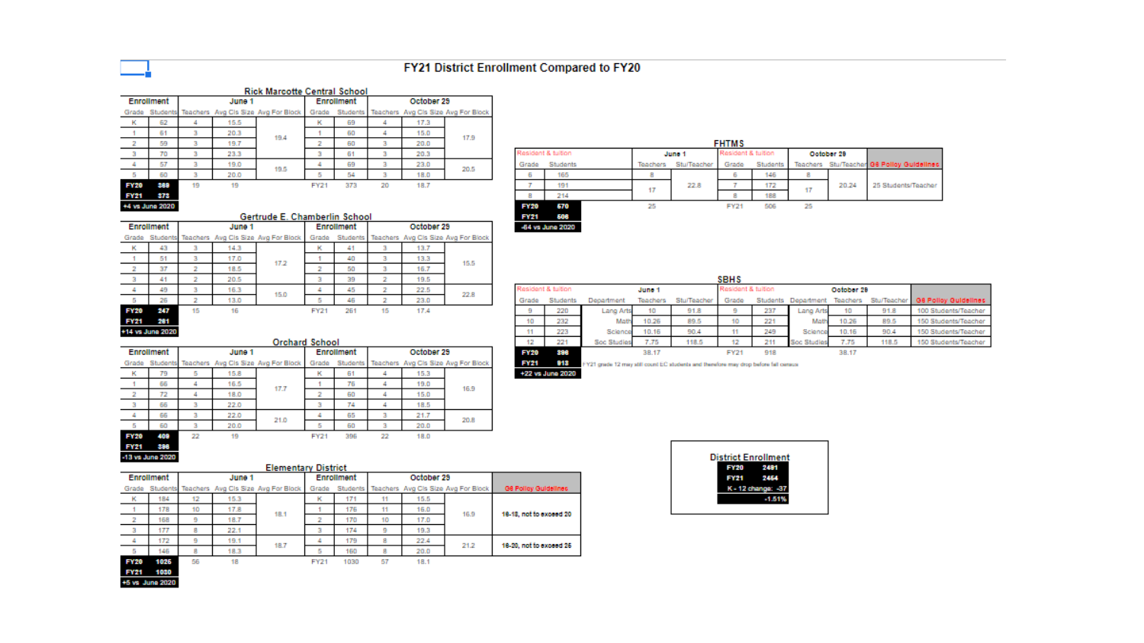### FY21 District Enrollment Compared to FY20

-64 vs June 2020

|             | <b>Rick Marcotte Central School</b> |        |      |                                              |             |                 |            |                                    |      |  |  |  |
|-------------|-------------------------------------|--------|------|----------------------------------------------|-------------|-----------------|------------|------------------------------------|------|--|--|--|
| Enrollment  |                                     | June 1 |      |                                              | Enrollment  |                 | October 29 |                                    |      |  |  |  |
| Grade       |                                     |        |      | Students Teachers Avg Cls Size Avg For Block |             | <b>Students</b> |            | Teachers Avg Cls Size Avg For Bloc |      |  |  |  |
| к           | 62                                  |        | 15.5 |                                              | к           | 69              | 4          | 17.3                               |      |  |  |  |
|             | 61                                  | з      | 20.3 | 19.4                                         |             | 60              | 4          | 15.0                               | 17.9 |  |  |  |
| 2           | 59                                  | з      | 19.7 |                                              |             | 60              | з          | 20.0                               |      |  |  |  |
| з           | 70                                  | з      | 23.3 |                                              | 3           | 61              | з          | 20.3                               |      |  |  |  |
| ۷           | 57                                  | з      | 19.0 | 19.5                                         |             | 69              | з          | 23.0                               | 20.5 |  |  |  |
| 5           | 60                                  | з      | 20.0 |                                              | 5           | 54              | з          | 18.0                               |      |  |  |  |
| <b>FY20</b> | 389                                 | 19     | 19   |                                              | <b>FY21</b> | 373             | 20         | 18.7                               |      |  |  |  |
| FY21        | 373                                 |        |      |                                              |             |                 |            |                                    |      |  |  |  |
|             | +4 vs June 2020                     |        |      |                                              |             |                 |            |                                    |      |  |  |  |

|                    | <b>FHTMS</b> |        |          |                    |       |            |    |       |                                           |  |  |  |
|--------------------|--------------|--------|----------|--------------------|-------|------------|----|-------|-------------------------------------------|--|--|--|
| Resident & tuition |              | June 1 |          | Resident & tuition |       | October 29 |    |       |                                           |  |  |  |
| Grade              | Students     |        | Teachers | <b>Stuffeacher</b> | Grade | Students   |    |       | Teachers Stu/Teacher G6 Polley Guidelines |  |  |  |
| 6                  | 165          |        | 8        |                    | 6     | 146        | 8  |       |                                           |  |  |  |
| T                  | 191          |        | 17       | 22.8               |       | 172        | 17 | 20.24 | 25 Students/Teacher                       |  |  |  |
| 8                  | 214          |        |          |                    | 8     | 188        |    |       |                                           |  |  |  |
| <b>FY20</b>        | 670          |        | 25       |                    | FY21  | 506        | 25 |       |                                           |  |  |  |
| <b>EV94</b>        | sne          |        |          |                    |       |            |    |       |                                           |  |  |  |

|             |                  |    |        | Gertrude E. Chamberlin School                |             |            |    |            |                                     |
|-------------|------------------|----|--------|----------------------------------------------|-------------|------------|----|------------|-------------------------------------|
|             | Enrollment       |    | June 1 |                                              |             | Enrollment |    | October 29 |                                     |
| Grade       |                  |    |        | Students Teachers Avg Cis Size Avg For Block | Grade       | Students   |    |            | Teachers Avg Cls Size Avg For Block |
| к           | 43               | з  | 14.3   |                                              | к           | 41         | з  | 13.7       |                                     |
|             | 51               | з  | 17.0   | 17.2                                         |             | 40         | з  | 13.3       | 15.5                                |
| 2           | 37               | 2  | 18.5   |                                              | 2           | 50         | з  | 16.7       |                                     |
| 3           | 41               | 2  | 20.5   |                                              | з           | 39         | 2  | 19.5       |                                     |
| 4           | 49               | з  | 16.3   | 15.0                                         | 4           | 45         | 2  | 22.5       | 22.8                                |
| 5           | 26               | 2  | 13.0   |                                              | 5           | 46         | 2  | 23.0       |                                     |
| <b>FY20</b> | 247              | 15 | 16     |                                              | <b>FY21</b> | 261        | 15 | 17.4       |                                     |
| FY21        | 281              |    |        |                                              |             |            |    |            |                                     |
|             | +14 vs June 2020 |    |        |                                              |             |            |    |            |                                     |

|                    |          |             |          |             | <b>SBHS</b>        |     |                     |            |             |                      |
|--------------------|----------|-------------|----------|-------------|--------------------|-----|---------------------|------------|-------------|----------------------|
| Resident & tuition |          |             | June 1   |             | Resident & tuition |     |                     | October 29 |             |                      |
| Grade              | Students | Department  | Teachers | Stu/Teacher | Grade              |     | Students Department | Teachers   | Stu/Teacher | G8 Polloy Guidelines |
| 9                  | 220      | Lang Arts   | 10       | 91.8        | 9                  | 237 | <b>Lang Arts</b>    | 10         | 91.8        | 100 Students/Teacher |
| 10                 | 232      | Math        | 10.26    | 89.5        | 10                 | 221 | Math                | 10.26      | 89.5        | 150 Students/Teacher |
| 11                 | 223      | Science     | 10.16    | 90.4        | 11                 | 249 | Science             | 10.16      | 90.4        | 150 Students/Teacher |
| 12                 | 221      | Soc Studies | 7.75     | 118.5       | 12                 | 211 | Soc Studies         | 7.75       | 118.5       | 150 Students/Teacher |
| <b>FY20</b>        | 386      |             | 38.17    |             | <b>FY21</b>        | 918 |                     | 38.17      |             |                      |

**District Enrollment** 

2481

2454

 $-1.51%$ 

**FY20** 

**FY21** K - 12 change: - 37

|  | Enroument | JUNG 1 |                                                                                                          | Enroument | October 25 |  |
|--|-----------|--------|----------------------------------------------------------------------------------------------------------|-----------|------------|--|
|  |           |        | Grade Students Teachers Avg Cls Size Avg For Block   Grade Students   Teachers Avg Cls Size Avg For Bloc |           |            |  |
|  |           |        |                                                                                                          |           | 15.3       |  |
|  |           |        |                                                                                                          |           |            |  |

**Orchard School** 

|             | <b>DD</b> | ٠  | 10.9 | 17.7 |                | 70  | ٠  | 12.0 | 16.9 |
|-------------|-----------|----|------|------|----------------|-----|----|------|------|
| 2           | 72        |    | 18.0 |      | $\overline{ }$ | 60  | 4  | 15.0 |      |
| 3           | 66        |    | 22.0 |      |                | 74  |    | 18.5 |      |
| 4           | 66        |    | 22.0 | 21.0 | 4              | 65  | з  | 21.7 | 20.8 |
| 5           | 60        |    | 20.0 |      | 5              | 60  | 3  | 20.0 |      |
| FY20        | 409       | 22 | 19   |      | <b>FY21</b>    | 396 | 22 | 18.0 |      |
| <b>FY21</b> | 398       |    |      |      |                |     |    |      |      |

#### 918 FY21 grade 12 may still count EC students and therefore may drop before fail census **FY21** +22 vs June 2020

| <b>Elementary District</b> |       |            |    |            |                                              |                         |  |  |
|----------------------------|-------|------------|----|------------|----------------------------------------------|-------------------------|--|--|
|                            |       | Enrollment |    | October 29 |                                              |                         |  |  |
| vg For Block               | Grade |            |    |            | Students Teachers Avg Cls Size Avg For Block | G6 Pollay Guidelines    |  |  |
|                            | к     | 171        |    | 15.5       |                                              |                         |  |  |
| 18.1                       |       | 176        | 11 | 16.0       | 16.9                                         | 18-18, not to exceed 20 |  |  |
|                            |       | 170        | 10 | 17.0       |                                              |                         |  |  |
|                            |       | 174        | 9  | 19.3       |                                              |                         |  |  |
| 18.7                       |       | 179        | 8  | 22.4       | 21.2                                         | 18-20, not to exceed 26 |  |  |
|                            |       | 160        | 8  | 20.0       |                                              |                         |  |  |

18.1

18.7  $5 - 145$  $\overline{\phantom{a}}$ 18.3 5 160 FY20 1025 56 18 FY21 1030 57

June 1

Teachers Avg Cis Size Avg For Block

15.3

17.8

18.7

22.1

19.1



-13 vs June 2020

Enrollment

Grade Students

K.

 $\overline{4}$ 

 $\overline{2}$ 

 $\mathbb{R}$ 

 $-4$ 

184

178

168

177

172

12

 $10$ 

-9

 $-8$ 

 $9$ 

+5 vs. June 2020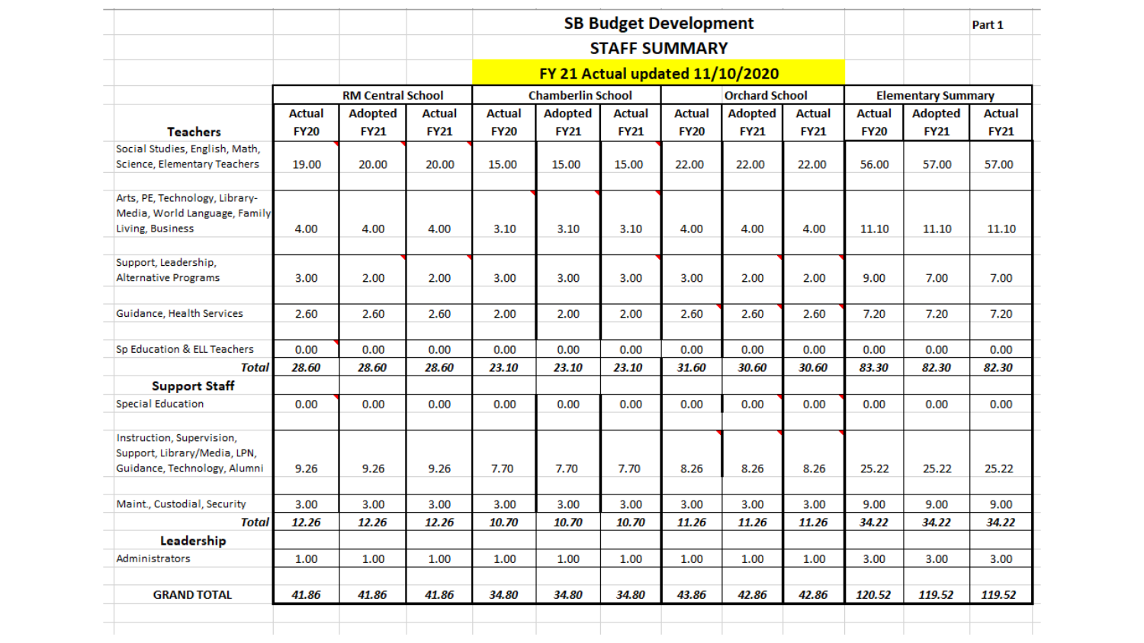|                                     |              |               |                          |               |               |                                 |               | <b>SB Budget Development</b> |                       |               |               |                           | Part 1        |
|-------------------------------------|--------------|---------------|--------------------------|---------------|---------------|---------------------------------|---------------|------------------------------|-----------------------|---------------|---------------|---------------------------|---------------|
|                                     |              |               |                          |               |               |                                 |               | <b>STAFF SUMMARY</b>         |                       |               |               |                           |               |
|                                     |              |               |                          |               |               | FY 21 Actual updated 11/10/2020 |               |                              |                       |               |               |                           |               |
|                                     |              |               | <b>RM Central School</b> |               |               | <b>Chamberlin School</b>        |               |                              | <b>Orchard School</b> |               |               | <b>Elementary Summary</b> |               |
|                                     |              | <b>Actual</b> | <b>Adopted</b>           | <b>Actual</b> | <b>Actual</b> | <b>Adopted</b>                  | <b>Actual</b> | <b>Actual</b>                | <b>Adopted</b>        | <b>Actual</b> | <b>Actual</b> | <b>Adopted</b>            | <b>Actual</b> |
| <b>Teachers</b>                     |              | <b>FY20</b>   | <b>FY21</b>              | <b>FY21</b>   | <b>FY20</b>   | <b>FY21</b>                     | <b>FY21</b>   | <b>FY20</b>                  | <b>FY21</b>           | <b>FY21</b>   | <b>FY20</b>   | <b>FY21</b>               | <b>FY21</b>   |
| Social Studies, English, Math,      |              |               |                          |               |               |                                 |               |                              |                       |               |               |                           |               |
| <b>Science, Elementary Teachers</b> |              | 19.00         | 20.00                    | 20.00         | 15.00         | 15.00                           | 15.00         | 22.00                        | 22.00                 | 22.00         | 56.00         | 57.00                     | 57.00         |
| Arts, PE, Technology, Library-      |              |               |                          |               |               |                                 |               |                              |                       |               |               |                           |               |
| Media, World Language, Family       |              |               |                          |               |               |                                 |               |                              |                       |               |               |                           |               |
| Living, Business                    |              | 4.00          | 4.00                     | 4.00          | 3.10          | 3.10                            | 3.10          | 4.00                         | 4.00                  | 4.00          | 11.10         | 11.10                     | 11.10         |
| Support, Leadership,                |              |               |                          |               |               |                                 |               |                              |                       |               |               |                           |               |
| <b>Alternative Programs</b>         |              | 3.00          | 2.00                     | 2.00          | 3.00          | 3.00                            | 3.00          | 3.00                         | 2.00                  | 2.00          | 9.00          | 7.00                      | 7.00          |
| Guidance, Health Services           |              | 2.60          | 2.60                     | 2.60          | 2.00          | 2.00                            | 2.00          | 2.60                         | 2.60                  | 2.60          | 7.20          | 7.20                      | 7.20          |
|                                     |              |               |                          |               |               |                                 |               |                              |                       |               |               |                           |               |
| Sp Education & ELL Teachers         |              | 0.00          | 0.00                     | 0.00          | 0.00          | 0.00                            | 0.00          | 0.00                         | 0.00                  | 0.00          | 0.00          | 0.00                      | 0.00          |
|                                     | <b>Total</b> | 28.60         | 28.60                    | 28.60         | 23.10         | 23.10                           | 23.10         | 31.60                        | 30.60                 | 30.60         | 83.30         | 82.30                     | 82.30         |
| <b>Support Staff</b>                |              |               |                          |               |               |                                 |               |                              |                       |               |               |                           |               |
| <b>Special Education</b>            |              | 0.00          | 0.00                     | 0.00          | 0.00          | 0.00                            | 0.00          | 0.00                         | 0.00                  | 0.00          | 0.00          | 0.00                      | 0.00          |
| Instruction, Supervision,           |              |               |                          |               |               |                                 |               |                              |                       |               |               |                           |               |
| Support, Library/Media, LPN,        |              |               |                          |               |               |                                 |               |                              |                       |               |               |                           |               |
| Guidance, Technology, Alumni        |              | 9.26          | 9.26                     | 9.26          | 7.70          | 7.70                            | 7.70          | 8.26                         | 8.26                  | 8.26          | 25.22         | 25.22                     | 25.22         |
| Maint., Custodial, Security         |              | 3.00          | 3.00                     | 3.00          | 3.00          | 3.00                            | 3.00          | 3.00                         | 3.00                  | 3.00          | 9.00          | 9.00                      | 9.00          |
|                                     | <b>Total</b> | 12.26         | 12.26                    | 12.26         | 10.70         | 10.70                           | 10.70         | 11.26                        | 11.26                 | 11.26         | 34.22         | 34.22                     | 34.22         |
| Leadership                          |              |               |                          |               |               |                                 |               |                              |                       |               |               |                           |               |
| Administrators                      |              | 1.00          | 1.00                     | 1.00          | 1.00          | 1.00                            | 1.00          | 1.00                         | 1.00                  | 1.00          | 3.00          | 3.00                      | 3.00          |
|                                     |              |               |                          |               |               |                                 |               |                              |                       |               |               |                           | 119.52        |
| <b>GRAND TOTAL</b>                  |              | 41.86         | 41.86                    | 41.86         | 34.80         | 34.80                           | 34.80         | 43.86                        | 42.86                 | 42.86         | 120.52        | 119.52                    |               |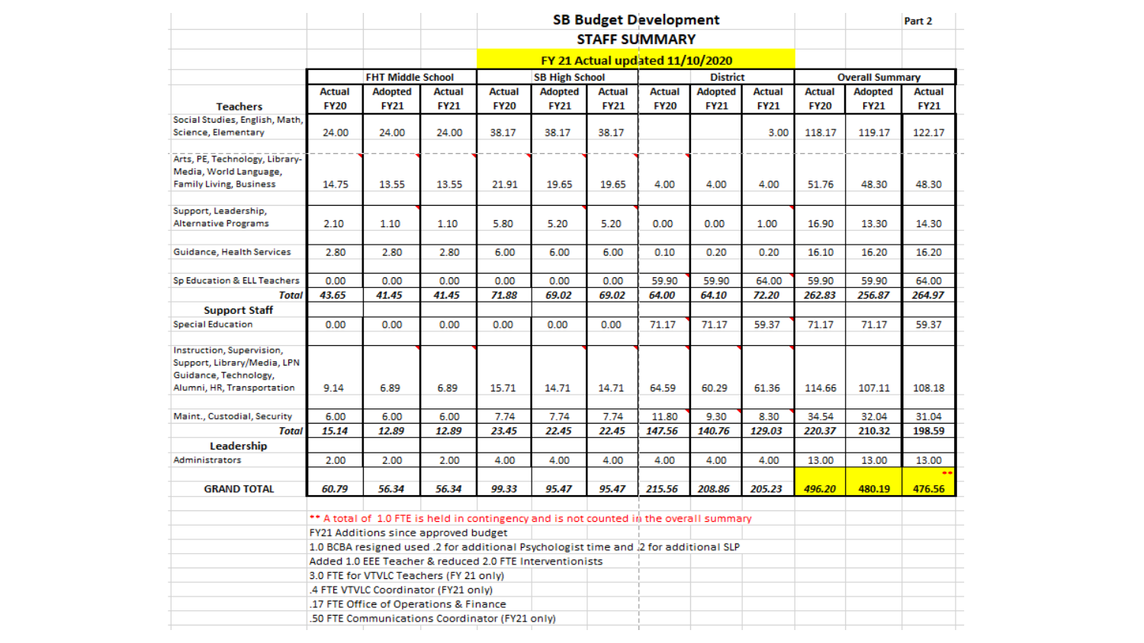|                                                  |                                                |                                                                                        |               |                       |                |               | <b>SB Budget Development</b> |                 |               |               |                        | Part 2        |  |
|--------------------------------------------------|------------------------------------------------|----------------------------------------------------------------------------------------|---------------|-----------------------|----------------|---------------|------------------------------|-----------------|---------------|---------------|------------------------|---------------|--|
|                                                  |                                                |                                                                                        |               |                       |                |               | <b>STAFF SUMMARY</b>         |                 |               |               |                        |               |  |
|                                                  | FY 21 Actual updated 11/10/2020                |                                                                                        |               |                       |                |               |                              |                 |               |               |                        |               |  |
|                                                  |                                                | <b>FHT Middle School</b>                                                               |               | <b>SB High School</b> |                |               |                              | <b>District</b> |               |               | <b>Overall Summary</b> |               |  |
|                                                  | <b>Actual</b>                                  | <b>Adopted</b>                                                                         | <b>Actual</b> | Actual                | <b>Adopted</b> | <b>Actual</b> | Actual                       | <b>Adopted</b>  | <b>Actual</b> | <b>Actual</b> | <b>Adopted</b>         | <b>Actual</b> |  |
| <b>Teachers</b>                                  | <b>FY20</b>                                    | <b>FY21</b>                                                                            | <b>FY21</b>   | <b>FY20</b>           | <b>FY21</b>    | <b>FY21</b>   | <b>FY20</b>                  | <b>FY21</b>     | <b>FY21</b>   | <b>FY20</b>   | <b>FY21</b>            | <b>FY21</b>   |  |
| Social Studies, English, Math,                   |                                                |                                                                                        |               |                       |                |               |                              |                 |               |               |                        |               |  |
| Science, Elementary                              | 24.00                                          | 24.00                                                                                  | 24.00         | 38.17                 | 38.17          | 38.17         |                              |                 | 3.00          | 118.17        | 119.17                 | 122.17        |  |
| Arts, PE, Technology, Library-                   |                                                |                                                                                        |               |                       |                |               |                              |                 |               |               |                        |               |  |
| Media, World Language,                           |                                                |                                                                                        |               |                       |                |               |                              |                 |               |               |                        |               |  |
| <b>Family Living, Business</b>                   | 14.75                                          | 13.55                                                                                  | 13.55         | 21.91                 | 19.65          | 19.65         | 4.00                         | 4.00            | 4.00          | 51.76         | 48.30                  | 48.30         |  |
|                                                  |                                                |                                                                                        |               |                       |                |               |                              |                 |               |               |                        |               |  |
| Support, Leadership,                             |                                                |                                                                                        |               |                       |                |               |                              |                 |               |               |                        |               |  |
| <b>Alternative Programs</b>                      | 2.10                                           | 1.10                                                                                   | 1.10          | 5.80                  | 5.20           | 5.20          | 0.00                         | 0.00            | 1.00          | 16.90         | 13.30                  | 14.30         |  |
|                                                  |                                                |                                                                                        |               |                       |                |               |                              |                 |               |               |                        |               |  |
| Guidance, Health Services                        | 2.80                                           | 2.80                                                                                   | 2.80          | 6.00                  | 6.00           | 6.00          | 0.10                         | 0.20            | 0.20          | 16.10         | 16.20                  | 16.20         |  |
| Sp Education & ELL Teachers                      | 0.00                                           | 0.00                                                                                   | 0.00          | 0.00                  | 0.00           | 0.00          | 59.90                        | 59.90           | 64.00         | 59.90         | 59.90                  | 64.00         |  |
| <b>Total</b>                                     | 43.65                                          | 41.45                                                                                  | 41.45         | 71.88                 | 69.02          | 69.02         | 64.00                        | 64.10           | 72.20         | 262.83        | 256.87                 | 264.97        |  |
|                                                  |                                                |                                                                                        |               |                       |                |               |                              |                 |               |               |                        |               |  |
| <b>Support Staff</b><br><b>Special Education</b> | 0.00                                           | 0.00                                                                                   |               | 0.00                  | 0.00           | 0.00          | 71.17                        |                 | 59.37         |               |                        | 59.37         |  |
|                                                  |                                                |                                                                                        | 0.00          |                       |                |               |                              | 71.17           |               | 71.17         | 71.17                  |               |  |
| Instruction, Supervision,                        |                                                |                                                                                        |               |                       |                |               |                              |                 |               |               |                        |               |  |
| Support, Library/Media, LPN                      |                                                |                                                                                        |               |                       |                |               |                              |                 |               |               |                        |               |  |
| Guidance, Technology,                            |                                                |                                                                                        |               |                       |                |               |                              |                 |               |               |                        |               |  |
| Alumni, HR, Transportation                       | 9.14                                           | 6.89                                                                                   | 6.89          | 15.71                 | 14.71          | 14.71         | 64.59                        | 60.29           | 61.36         | 114.66        | 107.11                 | 108.18        |  |
|                                                  |                                                |                                                                                        |               |                       |                |               |                              |                 |               |               |                        |               |  |
| Maint., Custodial, Security                      | 6.00                                           | 6.00                                                                                   | 6.00          | 7.74                  | 7.74           | 7.74          | 11.80                        | 9.30            | 8.30          | 34.54         | 32.04                  | 31.04         |  |
| <b>Total</b>                                     | 15.14                                          | 12.89                                                                                  | 12.89         | 23.45                 | 22.45          | 22.45         | 147.56                       | 140.76          | 129.03        | 220.37        | 210.32                 | 198.59        |  |
| Leadership                                       |                                                |                                                                                        |               |                       |                |               |                              |                 |               |               |                        |               |  |
| Administrators                                   | 2.00                                           | 2.00                                                                                   | 2.00          | 4.00                  | 4.00           | 4.00          | 4.00                         | 4.00            | 4.00          | 13.00         | 13.00                  | 13.00         |  |
| <b>GRAND TOTAL</b>                               |                                                |                                                                                        |               |                       |                |               |                              |                 |               |               |                        |               |  |
|                                                  | 60.79                                          | 56.34                                                                                  | 56.34         | 99.33                 | 95.47          | 95.47         | 215.56                       | 208.86          | 205.23        | 496.20        | 480.19                 | 476.56        |  |
|                                                  |                                                | ** A total of 1.0 FTE is held in contingency and is not counted in the overall summary |               |                       |                |               |                              |                 |               |               |                        |               |  |
|                                                  |                                                | FY21 Additions since approved budget                                                   |               |                       |                |               |                              |                 |               |               |                        |               |  |
|                                                  |                                                | 1.0 BCBA resigned used .2 for additional Psychologist time and .2 for additional SLP   |               |                       |                |               |                              |                 |               |               |                        |               |  |
|                                                  |                                                | Added 1.0 EEE Teacher & reduced 2.0 FTE Interventionists                               |               |                       |                |               |                              |                 |               |               |                        |               |  |
|                                                  |                                                | 3.0 FTE for VTVLC Teachers (FY 21 only)                                                |               |                       |                |               |                              |                 |               |               |                        |               |  |
|                                                  |                                                | .4 FTE VTVLC Coordinator (FY21 only)                                                   |               |                       |                |               |                              |                 |               |               |                        |               |  |
|                                                  |                                                | .17 FTE Office of Operations & Finance                                                 |               |                       |                |               |                              |                 |               |               |                        |               |  |
|                                                  | .50 FTE Communications Coordinator (FY21 only) |                                                                                        |               |                       |                |               |                              |                 |               |               |                        |               |  |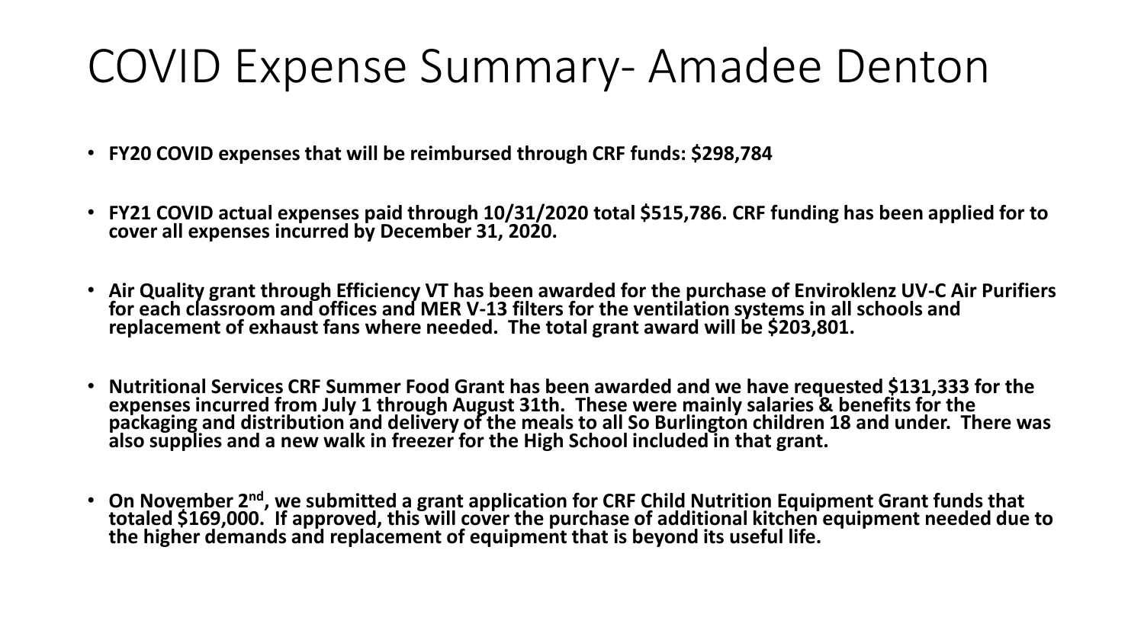# COVID Expense Summary- Amadee Denton

- **FY20 COVID expenses that will be reimbursed through CRF funds: \$298,784**
- **FY21 COVID actual expenses paid through 10/31/2020 total \$515,786. CRF funding has been applied for to cover all expenses incurred by December 31, 2020.**
- **Air Quality grant through Efficiency VT has been awarded for the purchase of Enviroklenz UV-C Air Purifiers for each classroom and offices and MER V-13 filters for the ventilation systems in all schools and replacement of exhaust fans where needed. The total grant award will be \$203,801.**
- **Nutritional Services CRF Summer Food Grant has been awarded and we have requested \$131,333 for the expenses incurred from July 1 through August 31th. These were mainly salaries & benefits for the packaging and distribution and delivery of the meals to all So Burlington children 18 and under. There was also supplies and a new walk in freezer for the High School included in that grant.**
- **On November 2nd, we submitted a grant application for CRF Child Nutrition Equipment Grant funds that totaled \$169,000. If approved, this will cover the purchase of additional kitchen equipment needed due to the higher demands and replacement of equipment that is beyond its useful life.**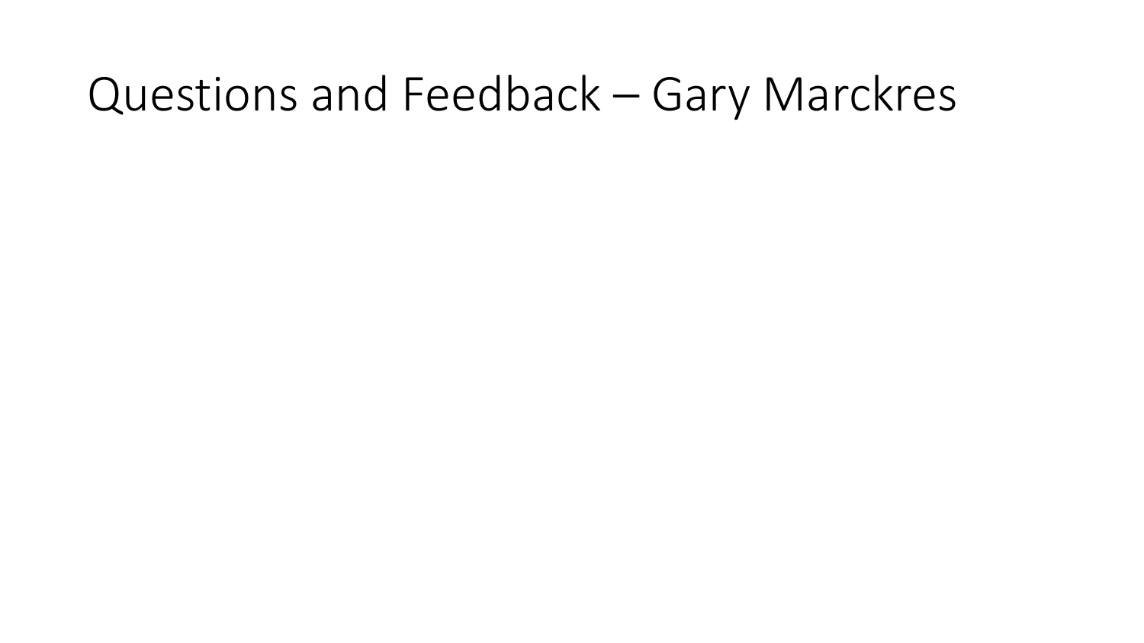# Questions and Feedback – Gary Marckres